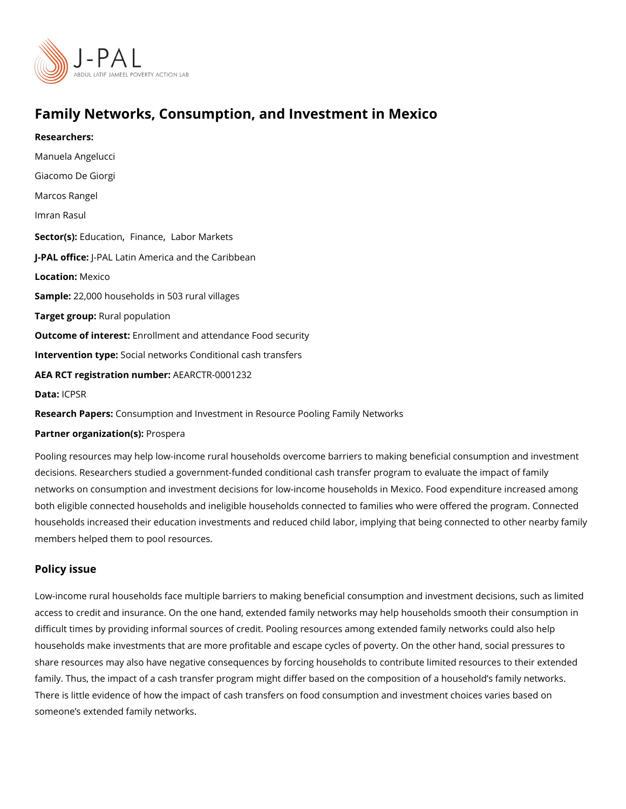# Family Networks, Consumption, and Investment in Mexico

Researchers: [Manuela Ang](https://www.povertyactionlab.org/person/angelucci)elucci Giacomo De Giorgi [Marcos Ra](https://www.povertyactionlab.org/person/rangel)ngel [Imran R](https://www.povertyactionlab.org/person/rasul)asul Sector([Educat](https://www.povertyactionlab.org/sector/education)io[Finan](https://www.povertyactionlab.org/sector/finance)cleabor Markets J-PAL of flicPeAL Latin America and the Caribbean Locatio Mexico Sample: 2,000 households in 503 rural villages Target gro**Rpral** population Outcome of interestsilment and attendance Food security Intervention  $t$  Speial networks Conditional cash transfers AEA RCT registration ArEuAnRbGeTR-0001232 Datal: CPSR

Research Papens: umption and Investment in Resource Pooling Family Networks

Partner organizatPon\$pera

Pooling resources may help low-income rural households overcome barriers to making ben decisions. Researchers studied a government-funded conditional cash transfer program to networks on consumption and investment decisions for low-income households in Mexico. both eligible connected households and ineligible households connected to families who w households increased their education investments and reduced child labor, implying that I members helped them to pool resources.

#### Policy issue

Low-income rural households face multiple barriers to making beneficial consumption and access to credit and insurance. On the one hand, extended family networks may help hous difficult times by providing informal sources of credit. Pooling resources among extended households make investments that are more profitable and escape cycles of poverty. On t share resources may also have negative consequences by forcing households to contribut family. Thus, the impact of a cash transfer program might differ based on the composition There is little evidence of how the impact of cash transfers on food consumption and inve someone s extended family networks.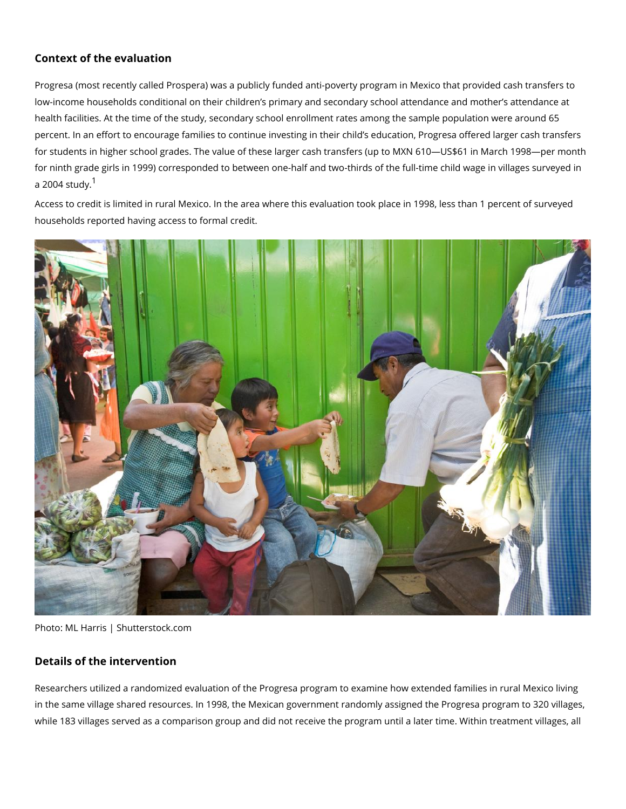### Context of the evaluation

Progresa (most recently called Prospera) was a publicly funded anti-poverty program in M low-income households conditional on their children s primary and secondary school atten health facilities. At the time of the study, secondary school enrollment rates among the s percent. In an effort to encourage families to continue investing in their child s educatior for students in higher school grades. The value of these larger cash transfers (up to MXN for ninth grade girls in 1999) corresponded to between one-half and two-thirds of the fulla  $2004 \text{ s}$ tudy.

Access to credit is limited in rural Mexico. In the area where this evaluation took place in households reported having access to formal credit.

Photo: ML Harris | Shutterstock.com

### Details of the intervention

Researchers utilized a randomized evaluation of the Progresa program to examine how ex in the same village shared resources. In 1998, the Mexican government randomly assigned while 183 villages served as a comparison group and did not receive the program until a l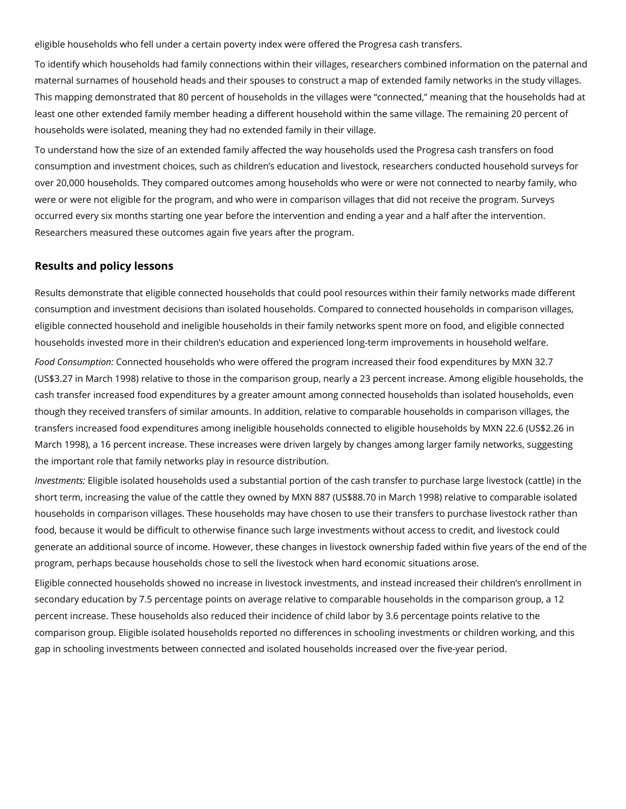eligible households who fell under a certain poverty index were offered the Progresa cash transfers.

To identify which households had family connections within their villages, researchers combined information on the paternal and maternal surnames of household heads and their spouses to construct a map of extended family networks in the study villages. This mapping demonstrated that 80 percent of households in the villages were "connected," meaning that the households had at least one other extended family member heading a different household within the same village. The remaining 20 percent of households were isolated, meaning they had no extended family in their village.

To understand how the size of an extended family affected the way households used the Progresa cash transfers on food consumption and investment choices, such as children's education and livestock, researchers conducted household surveys for over 20,000 households. They compared outcomes among households who were or were not connected to nearby family, who were or were not eligible for the program, and who were in comparison villages that did not receive the program. Surveys occurred every six months starting one year before the intervention and ending a year and a half after the intervention. Researchers measured these outcomes again five years after the program.

## **Results and policy lessons**

Results demonstrate that eligible connected households that could pool resources within their family networks made different consumption and investment decisions than isolated households. Compared to connected households in comparison villages, eligible connected household and ineligible households in their family networks spent more on food, and eligible connected households invested more in their children's education and experienced long-term improvements in household welfare.

*Food Consumption:* Connected households who were offered the program increased their food expenditures by MXN 32.7 (US\$3.27 in March 1998) relative to those in the comparison group, nearly a 23 percent increase. Among eligible households, the cash transfer increased food expenditures by a greater amount among connected households than isolated households, even though they received transfers of similar amounts. In addition, relative to comparable households in comparison villages, the transfers increased food expenditures among ineligible households connected to eligible households by MXN 22.6 (US\$2.26 in March 1998), a 16 percent increase. These increases were driven largely by changes among larger family networks, suggesting the important role that family networks play in resource distribution.

*Investments:* Eligible isolated households used a substantial portion of the cash transfer to purchase large livestock (cattle) in the short term, increasing the value of the cattle they owned by MXN 887 (US\$88.70 in March 1998) relative to comparable isolated households in comparison villages. These households may have chosen to use their transfers to purchase livestock rather than food, because it would be difficult to otherwise finance such large investments without access to credit, and livestock could generate an additional source of income. However, these changes in livestock ownership faded within five years of the end of the program, perhaps because households chose to sell the livestock when hard economic situations arose.

Eligible connected households showed no increase in livestock investments, and instead increased their children's enrollment in secondary education by 7.5 percentage points on average relative to comparable households in the comparison group, a 12 percent increase. These households also reduced their incidence of child labor by 3.6 percentage points relative to the comparison group. Eligible isolated households reported no differences in schooling investments or children working, and this gap in schooling investments between connected and isolated households increased over the five-year period.